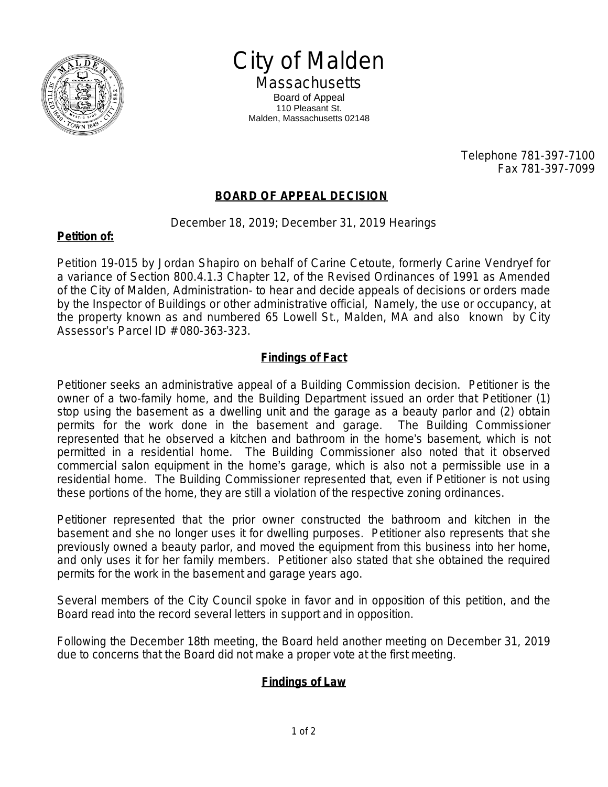

City of Malden **Massachusetts** Board of Appeal

110 Pleasant St. Malden, Massachusetts 02148

> Telephone 781-397-7100 Fax 781-397-7099

# **BOARD OF APPEAL DECISION**

December 18, 2019; December 31, 2019 Hearings

### **Petition of:**

Petition 19-015 by Jordan Shapiro on behalf of Carine Cetoute, formerly Carine Vendryef for a variance of Section 800.4.1.3 Chapter 12, of the Revised Ordinances of 1991 as Amended of the City of Malden, Administration- to hear and decide appeals of decisions or orders made by the Inspector of Buildings or other administrative official, Namely, the use or occupancy, at the property known as and numbered 65 Lowell St., Malden, MA and also known by City Assessor's Parcel ID # 080-363-323.

# **Findings of Fact**

Petitioner seeks an administrative appeal of a Building Commission decision. Petitioner is the owner of a two-family home, and the Building Department issued an order that Petitioner (1) stop using the basement as a dwelling unit and the garage as a beauty parlor and (2) obtain permits for the work done in the basement and garage. The Building Commissioner represented that he observed a kitchen and bathroom in the home's basement, which is not permitted in a residential home. The Building Commissioner also noted that it observed commercial salon equipment in the home's garage, which is also not a permissible use in a residential home. The Building Commissioner represented that, even if Petitioner is not using these portions of the home, they are still a violation of the respective zoning ordinances.

Petitioner represented that the prior owner constructed the bathroom and kitchen in the basement and she no longer uses it for dwelling purposes. Petitioner also represents that she previously owned a beauty parlor, and moved the equipment from this business into her home, and only uses it for her family members. Petitioner also stated that she obtained the required permits for the work in the basement and garage years ago.

Several members of the City Council spoke in favor and in opposition of this petition, and the Board read into the record several letters in support and in opposition.

Following the December 18th meeting, the Board held another meeting on December 31, 2019 due to concerns that the Board did not make a proper vote at the first meeting.

# **Findings of Law**